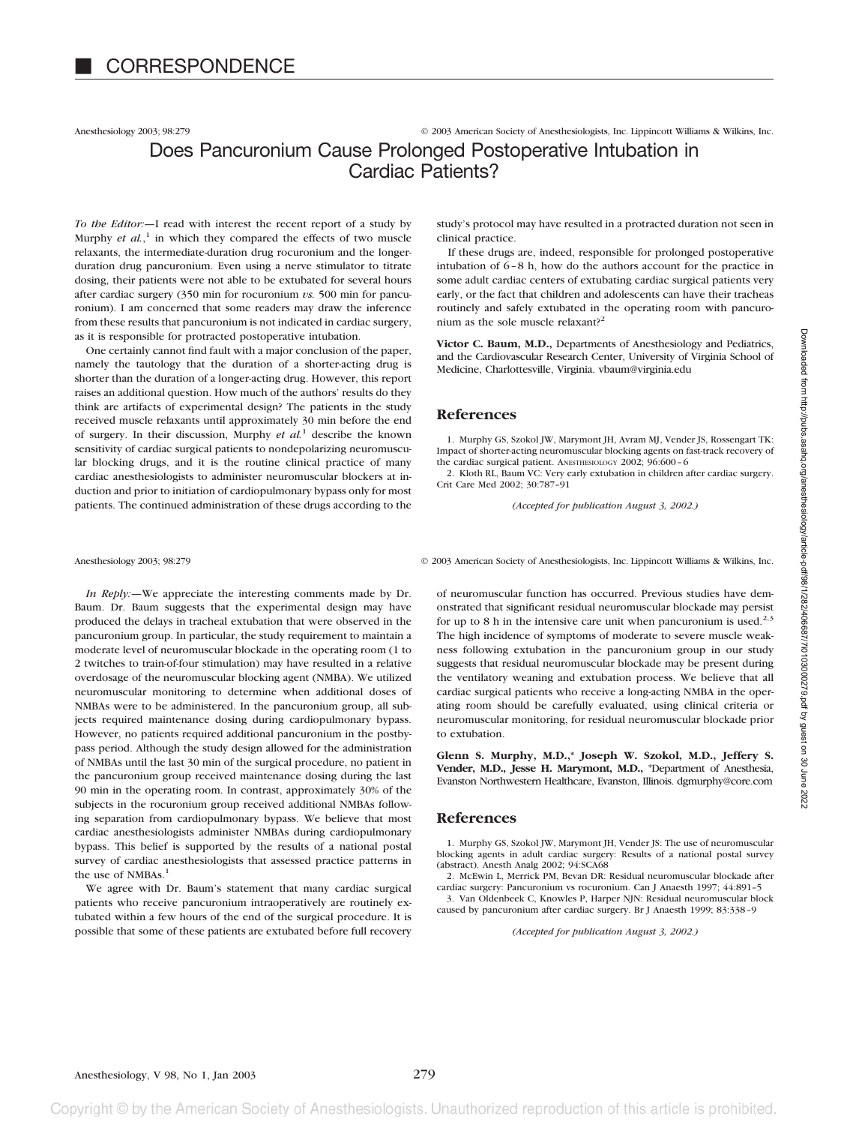Anesthesiology 2003; 98:279 © 2003 American Society of Anesthesiologists, Inc. Lippincott Williams & Wilkins, Inc.

## Does Pancuronium Cause Prolonged Postoperative Intubation in Cardiac Patients?

*To the Editor:—*I read with interest the recent report of a study by Murphy *et al.*,<sup>1</sup> in which they compared the effects of two muscle relaxants, the intermediate-duration drug rocuronium and the longerduration drug pancuronium. Even using a nerve stimulator to titrate dosing, their patients were not able to be extubated for several hours after cardiac surgery (350 min for rocuronium *vs.* 500 min for pancuronium). I am concerned that some readers may draw the inference from these results that pancuronium is not indicated in cardiac surgery, as it is responsible for protracted postoperative intubation.

One certainly cannot find fault with a major conclusion of the paper, namely the tautology that the duration of a shorter-acting drug is shorter than the duration of a longer-acting drug. However, this report raises an additional question. How much of the authors' results do they think are artifacts of experimental design? The patients in the study received muscle relaxants until approximately 30 min before the end of surgery. In their discussion, Murphy *et al.*<sup>1</sup> describe the known sensitivity of cardiac surgical patients to nondepolarizing neuromuscular blocking drugs, and it is the routine clinical practice of many cardiac anesthesiologists to administer neuromuscular blockers at induction and prior to initiation of cardiopulmonary bypass only for most patients. The continued administration of these drugs according to the

*In Reply:—*We appreciate the interesting comments made by Dr. Baum. Dr. Baum suggests that the experimental design may have produced the delays in tracheal extubation that were observed in the pancuronium group. In particular, the study requirement to maintain a moderate level of neuromuscular blockade in the operating room (1 to 2 twitches to train-of-four stimulation) may have resulted in a relative overdosage of the neuromuscular blocking agent (NMBA). We utilized neuromuscular monitoring to determine when additional doses of NMBAs were to be administered. In the pancuronium group, all subjects required maintenance dosing during cardiopulmonary bypass. However, no patients required additional pancuronium in the postbypass period. Although the study design allowed for the administration of NMBAs until the last 30 min of the surgical procedure, no patient in the pancuronium group received maintenance dosing during the last 90 min in the operating room. In contrast, approximately 30% of the subjects in the rocuronium group received additional NMBAs following separation from cardiopulmonary bypass. We believe that most cardiac anesthesiologists administer NMBAs during cardiopulmonary bypass. This belief is supported by the results of a national postal survey of cardiac anesthesiologists that assessed practice patterns in the use of NMBAs.<sup>1</sup>

We agree with Dr. Baum's statement that many cardiac surgical patients who receive pancuronium intraoperatively are routinely extubated within a few hours of the end of the surgical procedure. It is possible that some of these patients are extubated before full recovery

study's protocol may have resulted in a protracted duration not seen in clinical practice.

If these drugs are, indeed, responsible for prolonged postoperative intubation of 6–8 h, how do the authors account for the practice in some adult cardiac centers of extubating cardiac surgical patients very early, or the fact that children and adolescents can have their tracheas routinely and safely extubated in the operating room with pancuronium as the sole muscle relaxant?<sup>2</sup>

**Victor C. Baum, M.D.,** Departments of Anesthesiology and Pediatrics, and the Cardiovascular Research Center, University of Virginia School of Medicine, Charlottesville, Virginia. vbaum@virginia.edu

## **References**

1. Murphy GS, Szokol JW, Marymont JH, Avram MJ, Vender JS, Rossengart TK: Impact of shorter-acting neuromuscular blocking agents on fast-track recovery of the cardiac surgical patient. ANESTHESIOLOGY 2002; 96:600–6

2. Kloth RL, Baum VC: Very early extubation in children after cardiac surgery. Crit Care Med 2002; 30:787–91

*(Accepted for publication August 3, 2002.)*

Anesthesiology 2003; 98:279 © 2003 American Society of Anesthesiologists, Inc. Lippincott Williams & Wilkins, Inc.

of neuromuscular function has occurred. Previous studies have demonstrated that significant residual neuromuscular blockade may persist for up to 8 h in the intensive care unit when pancuronium is used.<sup>2,3</sup> The high incidence of symptoms of moderate to severe muscle weakness following extubation in the pancuronium group in our study suggests that residual neuromuscular blockade may be present during the ventilatory weaning and extubation process. We believe that all cardiac surgical patients who receive a long-acting NMBA in the operating room should be carefully evaluated, using clinical criteria or neuromuscular monitoring, for residual neuromuscular blockade prior to extubation.

**Glenn S. Murphy, M.D.,\* Joseph W. Szokol, M.D., Jeffery S. Vender, M.D., Jesse H. Marymont, M.D.,** \*Department of Anesthesia, Evanston Northwestern Healthcare, Evanston, Illinois. dgmurphy@core.com

### **References**

1. Murphy GS, Szokol JW, Marymont JH, Vender JS: The use of neuromuscular blocking agents in adult cardiac surgery: Results of a national postal survey (abstract). Anesth Analg 2002; 94:SCA68

2. McEwin L, Merrick PM, Bevan DR: Residual neuromuscular blockade after cardiac surgery: Pancuronium vs rocuronium. Can J Anaesth 1997; 44:891–5

3. Van Oldenbeek C, Knowles P, Harper NJN: Residual neuromuscular block caused by pancuronium after cardiac surgery. Br J Anaesth 1999; 83:338–9

*(Accepted for publication August 3, 2002.)*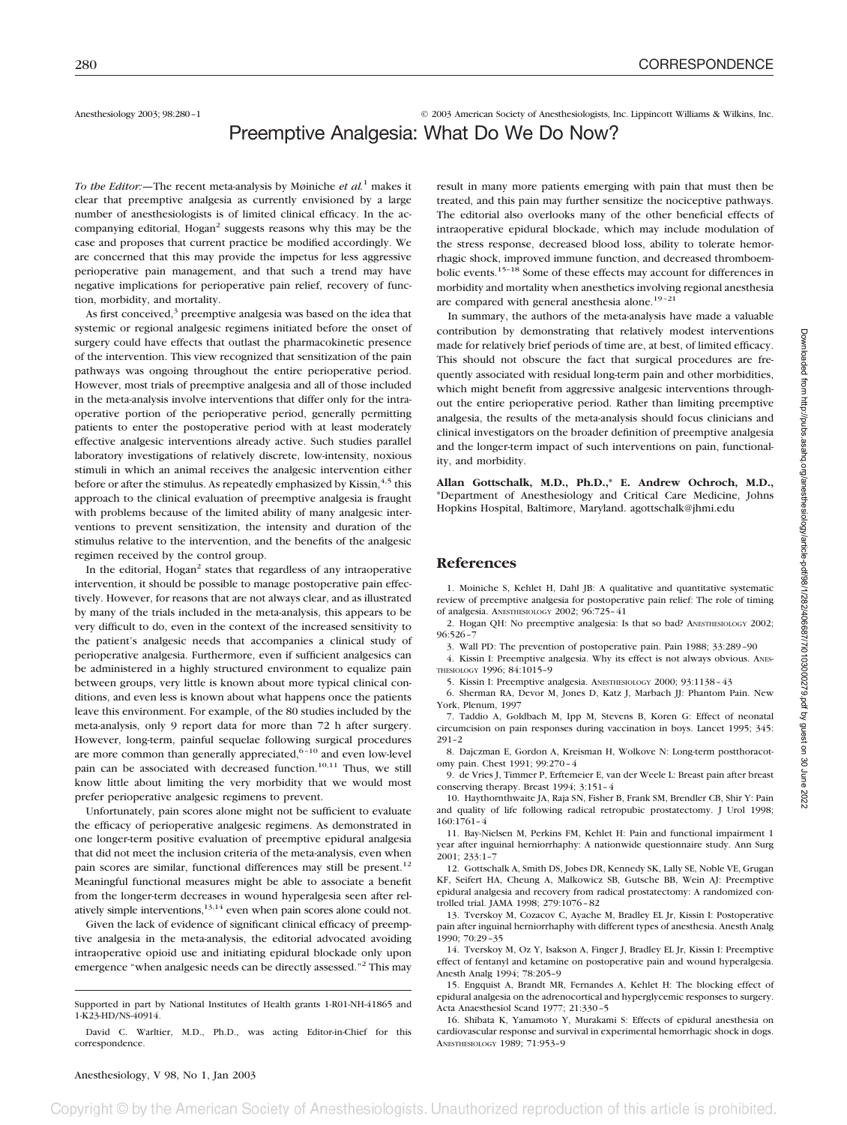Anesthesiology 2003; 98:280-1 © 2003 American Society of Anesthesiologists, Inc. Lippincott Williams & Wilkins, Inc.

# Preemptive Analgesia: What Do We Do Now?

*To the Editor:—*The recent meta-analysis by Møiniche *et al.*<sup>1</sup> makes it clear that preemptive analgesia as currently envisioned by a large number of anesthesiologists is of limited clinical efficacy. In the accompanying editorial, Hogan<sup>2</sup> suggests reasons why this may be the case and proposes that current practice be modified accordingly. We are concerned that this may provide the impetus for less aggressive perioperative pain management, and that such a trend may have negative implications for perioperative pain relief, recovery of function, morbidity, and mortality.

As first conceived, $3$  preemptive analgesia was based on the idea that systemic or regional analgesic regimens initiated before the onset of surgery could have effects that outlast the pharmacokinetic presence of the intervention. This view recognized that sensitization of the pain pathways was ongoing throughout the entire perioperative period. However, most trials of preemptive analgesia and all of those included in the meta-analysis involve interventions that differ only for the intraoperative portion of the perioperative period, generally permitting patients to enter the postoperative period with at least moderately effective analgesic interventions already active. Such studies parallel laboratory investigations of relatively discrete, low-intensity, noxious stimuli in which an animal receives the analgesic intervention either before or after the stimulus. As repeatedly emphasized by Kissin,<sup>4,5</sup> this approach to the clinical evaluation of preemptive analgesia is fraught with problems because of the limited ability of many analgesic interventions to prevent sensitization, the intensity and duration of the stimulus relative to the intervention, and the benefits of the analgesic regimen received by the control group.

In the editorial, Hogan<sup>2</sup> states that regardless of any intraoperative intervention, it should be possible to manage postoperative pain effectively. However, for reasons that are not always clear, and as illustrated by many of the trials included in the meta-analysis, this appears to be very difficult to do, even in the context of the increased sensitivity to the patient's analgesic needs that accompanies a clinical study of perioperative analgesia. Furthermore, even if sufficient analgesics can be administered in a highly structured environment to equalize pain between groups, very little is known about more typical clinical conditions, and even less is known about what happens once the patients leave this environment. For example, of the 80 studies included by the meta-analysis, only 9 report data for more than 72 h after surgery. However, long-term, painful sequelae following surgical procedures are more common than generally appreciated,<sup>6-10</sup> and even low-level pain can be associated with decreased function. $10,11$  Thus, we still know little about limiting the very morbidity that we would most prefer perioperative analgesic regimens to prevent.

Unfortunately, pain scores alone might not be sufficient to evaluate the efficacy of perioperative analgesic regimens. As demonstrated in one longer-term positive evaluation of preemptive epidural analgesia that did not meet the inclusion criteria of the meta-analysis, even when pain scores are similar, functional differences may still be present.<sup>12</sup> Meaningful functional measures might be able to associate a benefit from the longer-term decreases in wound hyperalgesia seen after relatively simple interventions, $13,14$  even when pain scores alone could not.

Given the lack of evidence of significant clinical efficacy of preemptive analgesia in the meta-analysis, the editorial advocated avoiding intraoperative opioid use and initiating epidural blockade only upon emergence "when analgesic needs can be directly assessed."<sup>2</sup> This may result in many more patients emerging with pain that must then be treated, and this pain may further sensitize the nociceptive pathways. The editorial also overlooks many of the other beneficial effects of intraoperative epidural blockade, which may include modulation of the stress response, decreased blood loss, ability to tolerate hemorrhagic shock, improved immune function, and decreased thromboembolic events.15–18 Some of these effects may account for differences in morbidity and mortality when anesthetics involving regional anesthesia are compared with general anesthesia alone.<sup>19-21</sup>

In summary, the authors of the meta-analysis have made a valuable contribution by demonstrating that relatively modest interventions made for relatively brief periods of time are, at best, of limited efficacy. This should not obscure the fact that surgical procedures are frequently associated with residual long-term pain and other morbidities, which might benefit from aggressive analgesic interventions throughout the entire perioperative period. Rather than limiting preemptive analgesia, the results of the meta-analysis should focus clinicians and clinical investigators on the broader definition of preemptive analgesia and the longer-term impact of such interventions on pain, functionality, and morbidity.

**Allan Gottschalk, M.D., Ph.D.,\* E. Andrew Ochroch, M.D.,** \*Department of Anesthesiology and Critical Care Medicine, Johns Hopkins Hospital, Baltimore, Maryland. agottschalk@jhmi.edu

## **References**

1. Moiniche S, Kehlet H, Dahl JB: A qualitative and quantitative systematic review of preemptive analgesia for postoperative pain relief: The role of timing of analgesia. ANESTHESIOLOGY 2002; 96:725–41

2. Hogan QH: No preemptive analgesia: Is that so bad? ANESTHESIOLOGY 2002; 96:526–7

3. Wall PD: The prevention of postoperative pain. Pain 1988; 33:289–90 4. Kissin I: Preemptive analgesia. Why its effect is not always obvious. ANES-

THESIOLOGY 1996; 84:1015–9

5. Kissin I: Preemptive analgesia. ANESTHESIOLOGY 2000; 93:1138–43

6. Sherman RA, Devor M, Jones D, Katz J, Marbach JJ: Phantom Pain. New York, Plenum, 1997

7. Taddio A, Goldbach M, Ipp M, Stevens B, Koren G: Effect of neonatal circumcision on pain responses during vaccination in boys. Lancet 1995; 345: 291–2

8. Dajczman E, Gordon A, Kreisman H, Wolkove N: Long-term postthoracotomy pain. Chest 1991; 99:270–4

9. de Vries J, Timmer P, Erftemeier E, van der Weele L: Breast pain after breast conserving therapy. Breast 1994; 3:151–4

10. Haythornthwaite JA, Raja SN, Fisher B, Frank SM, Brendler CB, Shir Y: Pain and quality of life following radical retropubic prostatectomy. J Urol 1998; 160:1761–4

11. Bay-Nielsen M, Perkins FM, Kehlet H: Pain and functional impairment 1 year after inguinal herniorrhaphy: A nationwide questionnaire study. Ann Surg 2001; 233:1–7

12. Gottschalk A, Smith DS, Jobes DR, Kennedy SK, Lally SE, Noble VE, Grugan KF, Seifert HA, Cheung A, Malkowicz SB, Gutsche BB, Wein AJ: Preemptive epidural analgesia and recovery from radical prostatectomy: A randomized controlled trial. JAMA 1998; 279:1076–82

13. Tverskoy M, Cozacov C, Ayache M, Bradley EL Jr, Kissin I: Postoperative pain after inguinal herniorrhaphy with different types of anesthesia. Anesth Analg 1990; 70:29–35

14. Tverskoy M, Oz Y, Isakson A, Finger J, Bradley EL Jr, Kissin I: Preemptive effect of fentanyl and ketamine on postoperative pain and wound hyperalgesia. Anesth Analg 1994; 78:205–9

15. Engquist A, Brandt MR, Fernandes A, Kehlet H: The blocking effect of epidural analgesia on the adrenocortical and hyperglycemic responses to surgery. Acta Anaesthesiol Scand 1977; 21:330–5

16. Shibata K, Yamamoto Y, Murakami S: Effects of epidural anesthesia on cardiovascular response and survival in experimental hemorrhagic shock in dogs. ANESTHESIOLOGY 1989; 71:953–9

Supported in part by National Institutes of Health grants 1-R01-NH-41865 and 1-K23-HD/NS-40914.

David C. Warltier, M.D., Ph.D., was acting Editor-in-Chief for this correspondence.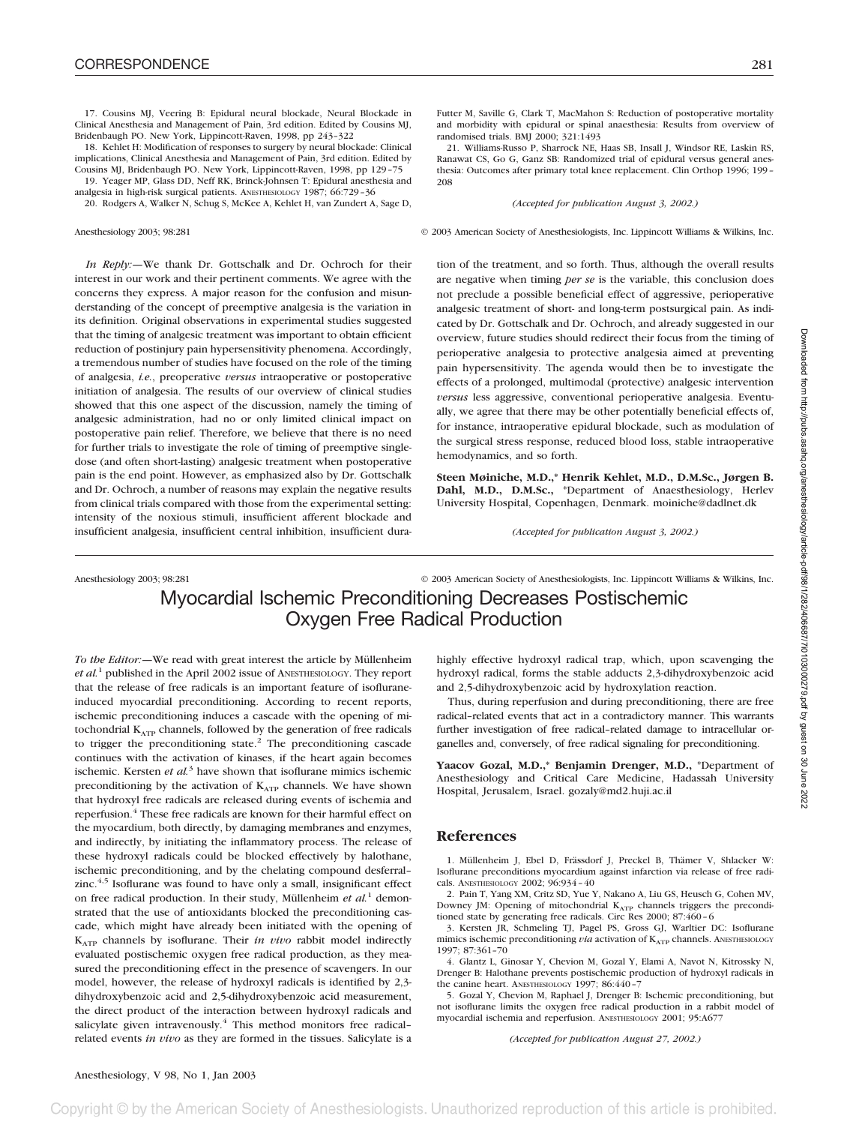17. Cousins MJ, Veering B: Epidural neural blockade, Neural Blockade in Clinical Anesthesia and Management of Pain, 3rd edition. Edited by Cousins MJ, Bridenbaugh PO. New York, Lippincott-Raven, 1998, pp 243–322

18. Kehlet H: Modification of responses to surgery by neural blockade: Clinical implications, Clinical Anesthesia and Management of Pain, 3rd edition. Edited by Cousins MJ, Bridenbaugh PO. New York, Lippincott-Raven, 1998, pp 129–75

19. Yeager MP, Glass DD, Neff RK, Brinck-Johnsen T: Epidural anesthesia and analgesia in high-risk surgical patients. ANESTHESIOLOGY 1987; 66:729–36

20. Rodgers A, Walker N, Schug S, McKee A, Kehlet H, van Zundert A, Sage D,

*In Reply:—*We thank Dr. Gottschalk and Dr. Ochroch for their interest in our work and their pertinent comments. We agree with the concerns they express. A major reason for the confusion and misunderstanding of the concept of preemptive analgesia is the variation in its definition. Original observations in experimental studies suggested that the timing of analgesic treatment was important to obtain efficient reduction of postinjury pain hypersensitivity phenomena. Accordingly, a tremendous number of studies have focused on the role of the timing of analgesia, *i.e.*, preoperative *versus* intraoperative or postoperative initiation of analgesia. The results of our overview of clinical studies showed that this one aspect of the discussion, namely the timing of analgesic administration, had no or only limited clinical impact on postoperative pain relief. Therefore, we believe that there is no need for further trials to investigate the role of timing of preemptive singledose (and often short-lasting) analgesic treatment when postoperative pain is the end point. However, as emphasized also by Dr. Gottschalk and Dr. Ochroch, a number of reasons may explain the negative results from clinical trials compared with those from the experimental setting: intensity of the noxious stimuli, insufficient afferent blockade and insufficient analgesia, insufficient central inhibition, insufficient duraFutter M, Saville G, Clark T, MacMahon S: Reduction of postoperative mortality and morbidity with epidural or spinal anaesthesia: Results from overview of randomised trials. BMJ 2000; 321:1493

21. Williams-Russo P, Sharrock NE, Haas SB, Insall J, Windsor RE, Laskin RS, Ranawat CS, Go G, Ganz SB: Randomized trial of epidural versus general anesthesia: Outcomes after primary total knee replacement. Clin Orthop 1996; 199– 208

### *(Accepted for publication August 3, 2002.)*

Anesthesiology 2003; 98:281 © 2003 American Society of Anesthesiologists, Inc. Lippincott Williams & Wilkins, Inc.

tion of the treatment, and so forth. Thus, although the overall results are negative when timing *per se* is the variable, this conclusion does not preclude a possible beneficial effect of aggressive, perioperative analgesic treatment of short- and long-term postsurgical pain. As indicated by Dr. Gottschalk and Dr. Ochroch, and already suggested in our overview, future studies should redirect their focus from the timing of perioperative analgesia to protective analgesia aimed at preventing pain hypersensitivity. The agenda would then be to investigate the effects of a prolonged, multimodal (protective) analgesic intervention *versus* less aggressive, conventional perioperative analgesia. Eventually, we agree that there may be other potentially beneficial effects of, for instance, intraoperative epidural blockade, such as modulation of the surgical stress response, reduced blood loss, stable intraoperative hemodynamics, and so forth.

**Steen Møiniche, M.D.,\* Henrik Kehlet, M.D., D.M.Sc., Jørgen B. Dahl, M.D., D.M.Sc.,** \*Department of Anaesthesiology, Herlev University Hospital, Copenhagen, Denmark. moiniche@dadlnet.dk

*(Accepted for publication August 3, 2002.)*

Anesthesiology 2003; 98:281 © 2003 American Society of Anesthesiologists, Inc. Lippincott Williams & Wilkins, Inc.

## Myocardial Ischemic Preconditioning Decreases Postischemic Oxygen Free Radical Production

*To the Editor:—*We read with great interest the article by Müllenheim *et al.*<sup>1</sup> published in the April 2002 issue of ANESTHESIOLOGY. They report that the release of free radicals is an important feature of isofluraneinduced myocardial preconditioning. According to recent reports, ischemic preconditioning induces a cascade with the opening of mitochondrial  $K_{ATP}$  channels, followed by the generation of free radicals to trigger the preconditioning state.<sup>2</sup> The preconditioning cascade continues with the activation of kinases, if the heart again becomes ischemic. Kersten *et al.*<sup>3</sup> have shown that isoflurane mimics ischemic preconditioning by the activation of  $K_{ATP}$  channels. We have shown that hydroxyl free radicals are released during events of ischemia and reperfusion.<sup>4</sup> These free radicals are known for their harmful effect on the myocardium, both directly, by damaging membranes and enzymes, and indirectly, by initiating the inflammatory process. The release of these hydroxyl radicals could be blocked effectively by halothane, ischemic preconditioning, and by the chelating compound desferral– zinc.<sup>4,5</sup> Isoflurane was found to have only a small, insignificant effect on free radical production. In their study, Müllenheim *et al.*<sup>1</sup> demonstrated that the use of antioxidants blocked the preconditioning cascade, which might have already been initiated with the opening of  $K_{ATP}$  channels by isoflurane. Their *in vivo* rabbit model indirectly evaluated postischemic oxygen free radical production, as they measured the preconditioning effect in the presence of scavengers. In our model, however, the release of hydroxyl radicals is identified by 2,3 dihydroxybenzoic acid and 2,5-dihydroxybenzoic acid measurement, the direct product of the interaction between hydroxyl radicals and salicylate given intravenously.<sup>4</sup> This method monitors free radicalrelated events *in vivo* as they are formed in the tissues. Salicylate is a highly effective hydroxyl radical trap, which, upon scavenging the hydroxyl radical, forms the stable adducts 2,3-dihydroxybenzoic acid and 2,5-dihydroxybenzoic acid by hydroxylation reaction.

Thus, during reperfusion and during preconditioning, there are free radical–related events that act in a contradictory manner. This warrants further investigation of free radical–related damage to intracellular organelles and, conversely, of free radical signaling for preconditioning.

**Yaacov Gozal, M.D.,\* Benjamin Drenger, M.D.,** \*Department of Anesthesiology and Critical Care Medicine, Hadassah University Hospital, Jerusalem, Israel. gozaly@md2.huji.ac.il

### **References**

1. Müllenheim J, Ebel D, Frässdorf J, Preckel B, Thämer V, Shlacker W: Isoflurane preconditions myocardium against infarction via release of free radicals. ANESTHESIOLOGY 2002; 96:934–40

2. Pain T, Yang XM, Critz SD, Yue Y, Nakano A, Liu GS, Heusch G, Cohen MV, Downey JM: Opening of mitochondrial KATP channels triggers the preconditioned state by generating free radicals. Circ Res 2000; 87:460–6

3. Kersten JR, Schmeling TJ, Pagel PS, Gross GJ, Warltier DC: Isoflurane mimics ischemic preconditioning *via* activation of K<sub>ATP</sub> channels. ANESTHESIOLOGY 1997; 87:361–70

4. Glantz L, Ginosar Y, Chevion M, Gozal Y, Elami A, Navot N, Kitrossky N, Drenger B: Halothane prevents postischemic production of hydroxyl radicals in the canine heart. ANESTHESIOLOGY 1997; 86:440-7

5. Gozal Y, Chevion M, Raphael J, Drenger B: Ischemic preconditioning, but not isoflurane limits the oxygen free radical production in a rabbit model of myocardial ischemia and reperfusion. ANESTHESIOLOGY 2001; 95:A677

*(Accepted for publication August 27, 2002.)*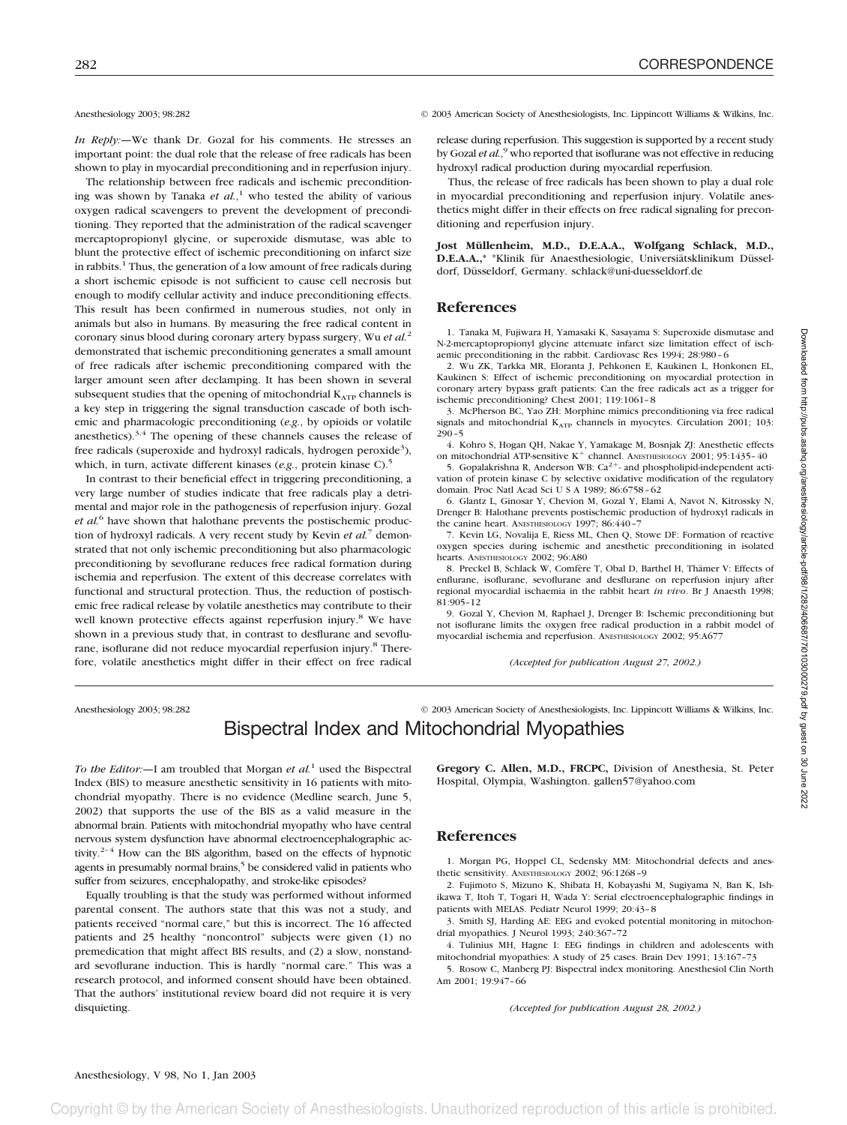*In Reply:—*We thank Dr. Gozal for his comments. He stresses an important point: the dual role that the release of free radicals has been shown to play in myocardial preconditioning and in reperfusion injury.

The relationship between free radicals and ischemic preconditioning was shown by Tanaka *et al.*, <sup>1</sup> who tested the ability of various oxygen radical scavengers to prevent the development of preconditioning. They reported that the administration of the radical scavenger mercaptopropionyl glycine, or superoxide dismutase, was able to blunt the protective effect of ischemic preconditioning on infarct size in rabbits.<sup>1</sup> Thus, the generation of a low amount of free radicals during a short ischemic episode is not sufficient to cause cell necrosis but enough to modify cellular activity and induce preconditioning effects. This result has been confirmed in numerous studies, not only in animals but also in humans. By measuring the free radical content in coronary sinus blood during coronary artery bypass surgery, Wu *et al.*<sup>2</sup> demonstrated that ischemic preconditioning generates a small amount of free radicals after ischemic preconditioning compared with the larger amount seen after declamping. It has been shown in several subsequent studies that the opening of mitochondrial  $K_{ATP}$  channels is a key step in triggering the signal transduction cascade of both ischemic and pharmacologic preconditioning (*e.g.*, by opioids or volatile anesthetics).3,4 The opening of these channels causes the release of free radicals (superoxide and hydroxyl radicals, hydrogen peroxide<sup>3</sup>), which, in turn, activate different kinases (*e.g.*, protein kinase C).<sup>5</sup>

In contrast to their beneficial effect in triggering preconditioning, a very large number of studies indicate that free radicals play a detrimental and major role in the pathogenesis of reperfusion injury. Gozal *et al.*<sup>6</sup> have shown that halothane prevents the postischemic production of hydroxyl radicals. A very recent study by Kevin *et al.*<sup>7</sup> demonstrated that not only ischemic preconditioning but also pharmacologic preconditioning by sevoflurane reduces free radical formation during ischemia and reperfusion. The extent of this decrease correlates with functional and structural protection. Thus, the reduction of postischemic free radical release by volatile anesthetics may contribute to their well known protective effects against reperfusion injury.<sup>8</sup> We have shown in a previous study that, in contrast to desflurane and sevoflurane, isoflurane did not reduce myocardial reperfusion injury.<sup>8</sup> Therefore, volatile anesthetics might differ in their effect on free radical

Anesthesiology 2003; 98:282 © 2003 American Society of Anesthesiologists, Inc. Lippincott Williams & Wilkins, Inc.

release during reperfusion. This suggestion is supported by a recent study by Gozal *et al*.<sup>9</sup> who reported that isoflurane was not effective in reducing hydroxyl radical production during myocardial reperfusion.

Thus, the release of free radicals has been shown to play a dual role in myocardial preconditioning and reperfusion injury. Volatile anesthetics might differ in their effects on free radical signaling for preconditioning and reperfusion injury.

**Jost Müllenheim, M.D., D.E.A.A., Wolfgang Schlack, M.D., D.E.A.A.,\*** \*Klinik für Anaesthesiologie, Universiätsklinikum Düsseldorf, Düsseldorf, Germany. schlack@uni-duesseldorf.de

## **References**

1. Tanaka M, Fujiwara H, Yamasaki K, Sasayama S: Superoxide dismutase and N-2-mercaptopropionyl glycine attenuate infarct size limitation effect of ischaemic preconditioning in the rabbit. Cardiovasc Res 1994; 28:980–6

2. Wu ZK, Tarkka MR, Eloranta J, Pehkonen E, Kaukinen L, Honkonen EL, Kaukinen S: Effect of ischemic preconditioning on myocardial protection in coronary artery bypass graft patients: Can the free radicals act as a trigger for ischemic preconditioning? Chest 2001; 119:1061–8

3. McPherson BC, Yao ZH: Morphine mimics preconditioning via free radical signals and mitochondrial  $K_{ATP}$  channels in myocytes. Circulation 2001; 103: 290–5

4. Kohro S, Hogan QH, Nakae Y, Yamakage M, Bosnjak ZJ: Anesthetic effects on mitochondrial ATP-sensitive  $K^+$  channel. ANESTHESIOLOGY 2001; 95:1435-40

5. Gopalakrishna R, Anderson WB:  $Ca^{2+}$  and phospholipid-independent activation of protein kinase C by selective oxidative modification of the regulatory domain. Proc Natl Acad Sci U S A 1989: 86:6758-62

6. Glantz L, Ginosar Y, Chevion M, Gozal Y, Elami A, Navot N, Kitrossky N, Drenger B: Halothane prevents postischemic production of hydroxyl radicals in the canine heart. ANESTHESIOLOGY 1997; 86:440–7

7. Kevin LG, Novalija E, Riess ML, Chen Q, Stowe DF: Formation of reactive oxygen species during ischemic and anesthetic preconditioning in isolated hearts. ANESTHESIOLOGY 2002; 96:A80

8. Preckel B, Schlack W, Comfère T, Obal D, Barthel H, Thämer V: Effects of enflurane, isoflurane, sevoflurane and desflurane on reperfusion injury after regional myocardial ischaemia in the rabbit heart *in vivo*. Br J Anaesth 1998; 81:905–12

9. Gozal Y, Chevion M, Raphael J, Drenger B: Ischemic preconditioning but not isoflurane limits the oxygen free radical production in a rabbit model of myocardial ischemia and reperfusion. ANESTHESIOLOGY 2002; 95:A677

*(Accepted for publication August 27, 2002.)*

Anesthesiology 2003; 98:282 © 2003 American Society of Anesthesiologists, Inc. Lippincott Williams & Wilkins, Inc.

## Bispectral Index and Mitochondrial Myopathies

*To the Editor:—*I am troubled that Morgan *et al.*<sup>1</sup> used the Bispectral Index (BIS) to measure anesthetic sensitivity in 16 patients with mitochondrial myopathy. There is no evidence (Medline search, June 5, 2002) that supports the use of the BIS as a valid measure in the abnormal brain. Patients with mitochondrial myopathy who have central nervous system dysfunction have abnormal electroencephalographic activity.<sup>2-4</sup> How can the BIS algorithm, based on the effects of hypnotic agents in presumably normal brains,<sup>5</sup> be considered valid in patients who suffer from seizures, encephalopathy, and stroke-like episodes?

Equally troubling is that the study was performed without informed parental consent. The authors state that this was not a study, and patients received "normal care," but this is incorrect. The 16 affected patients and 25 healthy "noncontrol" subjects were given (1) no premedication that might affect BIS results, and (2) a slow, nonstandard sevoflurane induction. This is hardly "normal care." This was a research protocol, and informed consent should have been obtained. That the authors' institutional review board did not require it is very disquieting.

**Gregory C. Allen, M.D., FRCPC,** Division of Anesthesia, St. Peter Hospital, Olympia, Washington. gallen57@yahoo.com

## **References**

1. Morgan PG, Hoppel CL, Sedensky MM: Mitochondrial defects and anesthetic sensitivity. ANESTHESIOLOGY 2002; 96:1268–9

2. Fujimoto S, Mizuno K, Shibata H, Kobayashi M, Sugiyama N, Ban K, Ishikawa T, Itoh T, Togari H, Wada Y: Serial electroencephalographic findings in patients with MELAS. Pediatr Neurol 1999; 20:43–8

3. Smith SJ, Harding AE: EEG and evoked potential monitoring in mitochondrial myopathies. J Neurol 1993; 240:367–72

4. Tulinius MH, Hagne I: EEG findings in children and adolescents with mitochondrial myopathies: A study of 25 cases. Brain Dev 1991; 13:167–73

5. Rosow C, Manberg PJ: Bispectral index monitoring. Anesthesiol Clin North Am 2001; 19:947–66

*(Accepted for publication August 28, 2002.)*